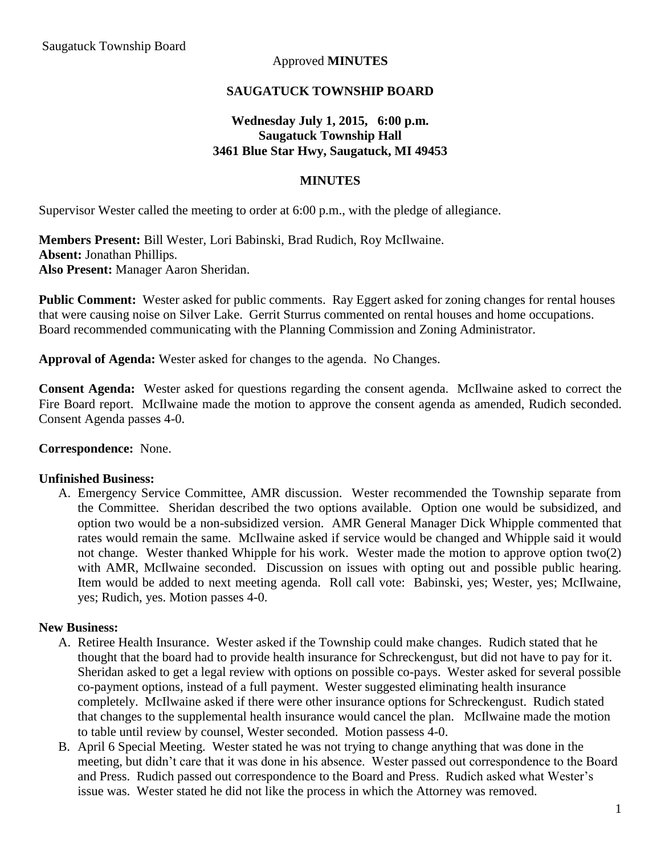### Approved **MINUTES**

### **SAUGATUCK TOWNSHIP BOARD**

## **Wednesday July 1, 2015, 6:00 p.m. Saugatuck Township Hall 3461 Blue Star Hwy, Saugatuck, MI 49453**

#### **MINUTES**

Supervisor Wester called the meeting to order at 6:00 p.m., with the pledge of allegiance.

**Members Present:** Bill Wester, Lori Babinski, Brad Rudich, Roy McIlwaine. **Absent:** Jonathan Phillips. **Also Present:** Manager Aaron Sheridan.

**Public Comment:** Wester asked for public comments. Ray Eggert asked for zoning changes for rental houses that were causing noise on Silver Lake. Gerrit Sturrus commented on rental houses and home occupations. Board recommended communicating with the Planning Commission and Zoning Administrator.

**Approval of Agenda:** Wester asked for changes to the agenda. No Changes.

**Consent Agenda:** Wester asked for questions regarding the consent agenda. McIlwaine asked to correct the Fire Board report. McIlwaine made the motion to approve the consent agenda as amended, Rudich seconded. Consent Agenda passes 4-0.

#### **Correspondence:** None.

#### **Unfinished Business:**

A. Emergency Service Committee, AMR discussion. Wester recommended the Township separate from the Committee. Sheridan described the two options available. Option one would be subsidized, and option two would be a non-subsidized version. AMR General Manager Dick Whipple commented that rates would remain the same. McIlwaine asked if service would be changed and Whipple said it would not change. Wester thanked Whipple for his work. Wester made the motion to approve option two(2) with AMR, McIlwaine seconded. Discussion on issues with opting out and possible public hearing. Item would be added to next meeting agenda. Roll call vote: Babinski, yes; Wester, yes; McIlwaine, yes; Rudich, yes. Motion passes 4-0.

#### **New Business:**

- A. Retiree Health Insurance. Wester asked if the Township could make changes. Rudich stated that he thought that the board had to provide health insurance for Schreckengust, but did not have to pay for it. Sheridan asked to get a legal review with options on possible co-pays. Wester asked for several possible co-payment options, instead of a full payment. Wester suggested eliminating health insurance completely. McIlwaine asked if there were other insurance options for Schreckengust. Rudich stated that changes to the supplemental health insurance would cancel the plan. McIlwaine made the motion to table until review by counsel, Wester seconded. Motion passess 4-0.
- B. April 6 Special Meeting. Wester stated he was not trying to change anything that was done in the meeting, but didn't care that it was done in his absence. Wester passed out correspondence to the Board and Press. Rudich passed out correspondence to the Board and Press. Rudich asked what Wester's issue was. Wester stated he did not like the process in which the Attorney was removed.